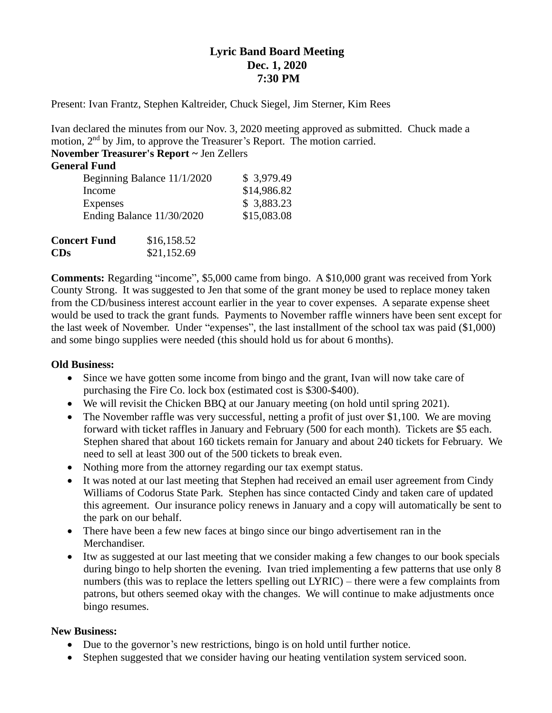## **Lyric Band Board Meeting Dec. 1, 2020 7:30 PM**

Present: Ivan Frantz, Stephen Kaltreider, Chuck Siegel, Jim Sterner, Kim Rees

Ivan declared the minutes from our Nov. 3, 2020 meeting approved as submitted. Chuck made a motion, 2<sup>nd</sup> by Jim, to approve the Treasurer's Report. The motion carried.

**November Treasurer's Report ~** Jen Zellers

| <b>General Fund</b>         |             |
|-----------------------------|-------------|
| Beginning Balance 11/1/2020 | \$3,979.49  |
| Income                      | \$14,986.82 |
| <b>Expenses</b>             | \$3,883.23  |
| Ending Balance 11/30/2020   | \$15,083.08 |
|                             |             |
|                             |             |

| <b>Concert Fund</b> | \$16,158.52 |
|---------------------|-------------|
| CDs                 | \$21,152.69 |

**Comments:** Regarding "income", \$5,000 came from bingo. A \$10,000 grant was received from York County Strong. It was suggested to Jen that some of the grant money be used to replace money taken from the CD/business interest account earlier in the year to cover expenses. A separate expense sheet would be used to track the grant funds. Payments to November raffle winners have been sent except for the last week of November. Under "expenses", the last installment of the school tax was paid (\$1,000) and some bingo supplies were needed (this should hold us for about 6 months).

## **Old Business:**

- Since we have gotten some income from bingo and the grant, Ivan will now take care of purchasing the Fire Co. lock box (estimated cost is \$300-\$400).
- We will revisit the Chicken BBQ at our January meeting (on hold until spring 2021).
- The November raffle was very successful, netting a profit of just over \$1,100. We are moving forward with ticket raffles in January and February (500 for each month). Tickets are \$5 each. Stephen shared that about 160 tickets remain for January and about 240 tickets for February. We need to sell at least 300 out of the 500 tickets to break even.
- Nothing more from the attorney regarding our tax exempt status.
- It was noted at our last meeting that Stephen had received an email user agreement from Cindy Williams of Codorus State Park. Stephen has since contacted Cindy and taken care of updated this agreement. Our insurance policy renews in January and a copy will automatically be sent to the park on our behalf.
- There have been a few new faces at bingo since our bingo advertisement ran in the Merchandiser.
- Itw as suggested at our last meeting that we consider making a few changes to our book specials during bingo to help shorten the evening. Ivan tried implementing a few patterns that use only 8 numbers (this was to replace the letters spelling out LYRIC) – there were a few complaints from patrons, but others seemed okay with the changes. We will continue to make adjustments once bingo resumes.

## **New Business:**

- Due to the governor's new restrictions, bingo is on hold until further notice.
- Stephen suggested that we consider having our heating ventilation system serviced soon.